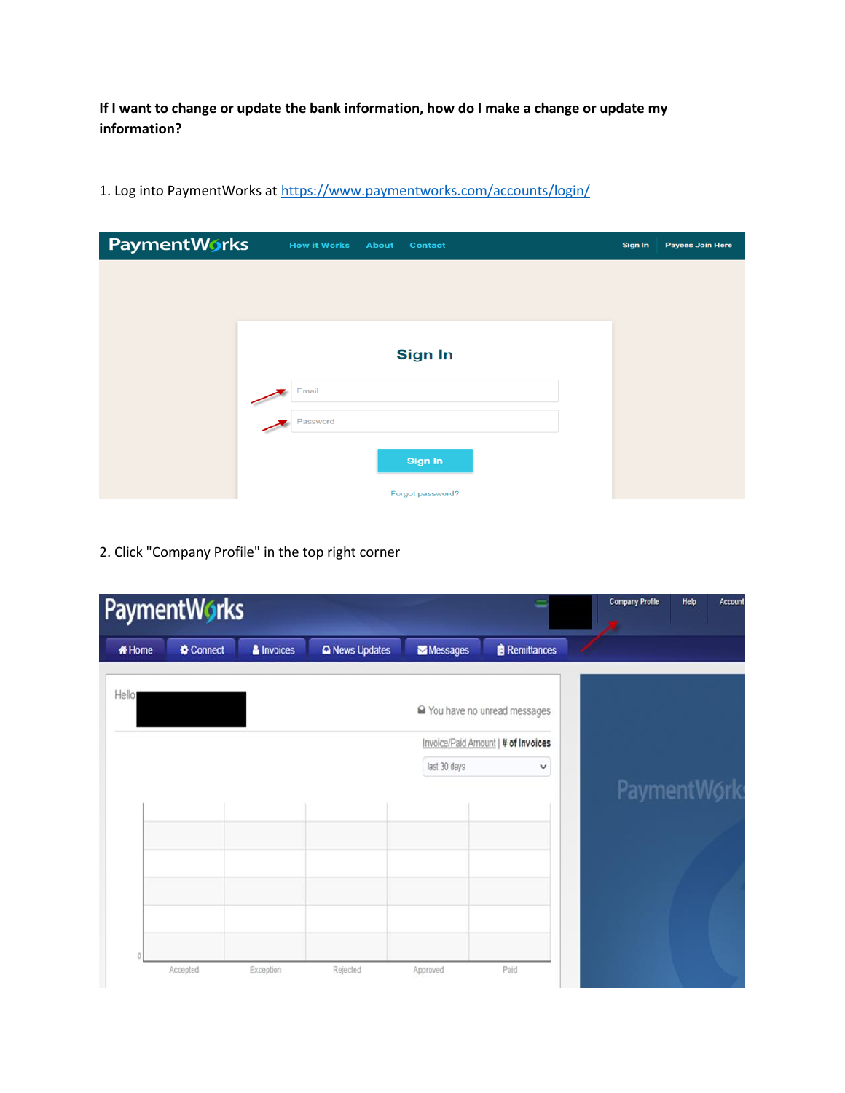**If I want to change or update the bank information, how do I make a change or update my information?**

| PaymentWorks | <b>How it Works</b><br>About<br><b>Contact</b> | Sign In | <b>Payees Join Here</b> |
|--------------|------------------------------------------------|---------|-------------------------|
|              |                                                |         |                         |
|              |                                                |         |                         |
|              |                                                |         |                         |
|              | <b>Sign In</b>                                 |         |                         |
|              | Email                                          |         |                         |
|              | Password                                       |         |                         |
|              | <b>Sign In</b>                                 |         |                         |
|              | Forgot password?                               |         |                         |

1. Log into PaymentWorks a[t https://www.paymentworks.com/accounts/login/](https://www.paymentworks.com/accounts/login/)

2. Click "Company Profile" in the top right corner

|               | PaymentWorks |            |                       |              |                                     | <b>Company Profile</b> | Help<br>Account |
|---------------|--------------|------------|-----------------------|--------------|-------------------------------------|------------------------|-----------------|
| <b># Home</b> | Connect      | & Invoices | <b>Q</b> News Updates | Messages     | <b>Remittances</b>                  |                        |                 |
| Hello         |              |            |                       |              | ■ You have no unread messages       |                        |                 |
|               |              |            |                       |              | Invoice/Paid Amount   # of Invoices |                        |                 |
|               |              |            |                       | last 30 days | v                                   |                        |                 |
|               |              |            |                       |              |                                     |                        | PaymentWork     |
|               |              |            |                       |              |                                     |                        |                 |
|               |              |            |                       |              |                                     |                        |                 |
|               |              |            |                       |              |                                     |                        |                 |
|               |              |            |                       |              |                                     |                        |                 |
|               |              |            |                       |              |                                     |                        |                 |
|               |              |            |                       |              |                                     |                        |                 |
|               | Accepted     | Exception  | Rejected              | Approved     | Paid                                |                        |                 |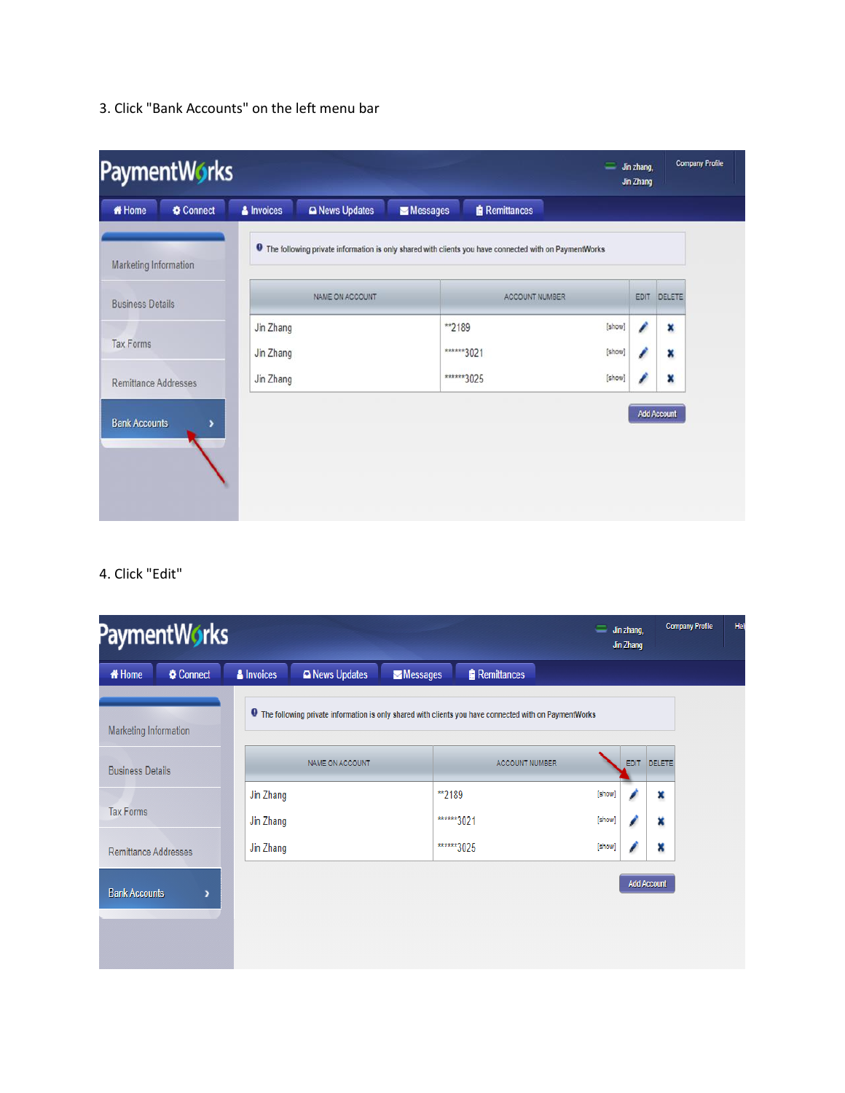3. Click "Bank Accounts" on the left menu bar

| PaymentWorks<br>=       |         |                        |                                                                                                                |          |                       |                  | Jin zhang,<br>Jin Zhang | Company Profile |
|-------------------------|---------|------------------------|----------------------------------------------------------------------------------------------------------------|----------|-----------------------|------------------|-------------------------|-----------------|
| <b><i>K</i></b> Home    | Connect | & Invoices             | <b>Q News Updates</b>                                                                                          | Messages | <b>Remittances</b>    |                  |                         |                 |
| Marketing Information   |         |                        | <b>O</b> The following private information is only shared with clients you have connected with on PaymentWorks |          |                       |                  |                         |                 |
| <b>Business Details</b> |         |                        | NAME ON ACCOUNT                                                                                                |          | ACCOUNT NUMBER        |                  |                         | EDIT DELETE     |
| <b>Tax Forms</b>        |         | Jin Zhang<br>Jin Zhang |                                                                                                                |          | ** 2189<br>******3021 | [show]<br>[show] |                         | ×<br>×          |
| Remittance Addresses    |         | Jin Zhang              |                                                                                                                |          | ******3025            | [show]           |                         | ×               |
| <b>Bank Accounts</b>    |         |                        |                                                                                                                |          |                       |                  |                         | Add Account     |

4. Click "Edit"

|                             | PaymentWorks |                   |                                                                                                                |                       | Jin zhang,<br>=<br>Jin Zhang |                    | <b>Company Profile</b> | Hel |
|-----------------------------|--------------|-------------------|----------------------------------------------------------------------------------------------------------------|-----------------------|------------------------------|--------------------|------------------------|-----|
| <b><i>K</i></b> Home        | Connect      | <b>A</b> Invoices | <b>Q News Updates</b><br>Messages                                                                              | <b>Remittances</b>    |                              |                    |                        |     |
| Marketing Information       |              |                   | <b>O</b> The following private information is only shared with clients you have connected with on PaymentWorks |                       |                              |                    |                        |     |
| <b>Business Details</b>     |              |                   | NAME ON ACCOUNT                                                                                                | <b>ACCOUNT NUMBER</b> | <b>EDIT</b>                  | DELETE             |                        |     |
|                             |              | Jin Zhang         |                                                                                                                | **2189                | [show]                       | ×                  |                        |     |
| <b>Tax Forms</b>            | Jin Zhang    |                   | ******3021                                                                                                     | [show]                | ×                            |                    |                        |     |
| <b>Remittance Addresses</b> |              | Jin Zhang         |                                                                                                                | ******3025            | [show]                       | ×                  |                        |     |
| <b>Bank Accounts</b>        | ,            |                   |                                                                                                                |                       |                              | <b>Add Account</b> |                        |     |
|                             |              |                   |                                                                                                                |                       |                              |                    |                        |     |
|                             |              |                   |                                                                                                                |                       |                              |                    |                        |     |